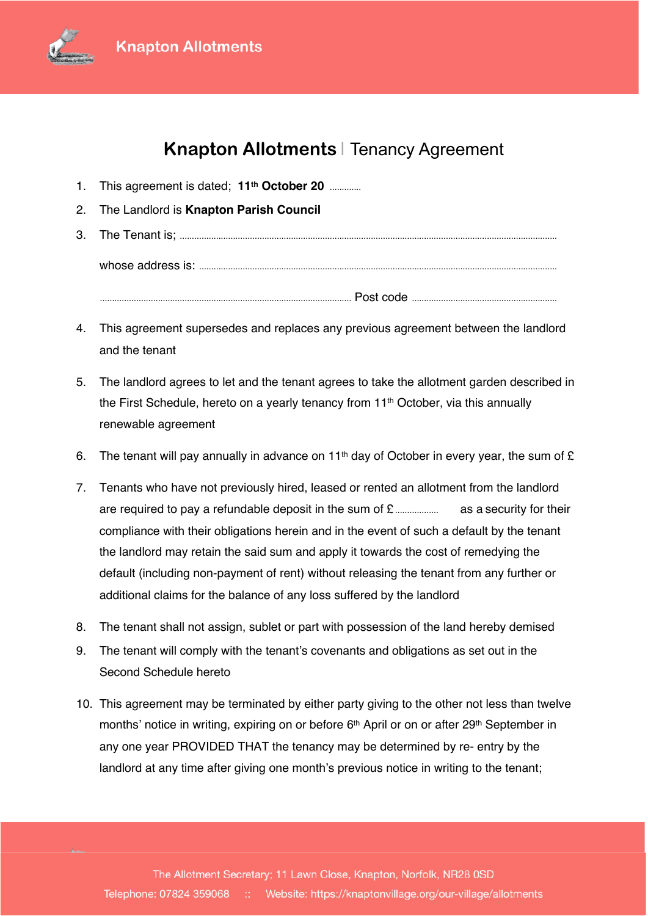

## **Agreement Knapton Allotments** | Tenancy Agreement

- 1. This agreement is dated; **11th October 20** 1. This agreement is dated; **11th October 20** .............
- **2. The Landlord is Knapton Parish Council** 2. The Landlord is **Knapton Parish Council**
- 3. The Tenant is; 3. The Tenant is; ............................................................................................................................................................ whose address is: whose address is: .................................................................................................................................................... Post code ........................................................................................................ Post code ............................................................
- 4. This agreement supersedes and replaces any previous agreement between the landlord 4. This agreement supersedes and replaces any previous agreement between the landlord and the tenant and the tenant
- 5. The landlord agrees to let and the tenant agrees to take the allotment garden described in 5. The landlord agrees to let and the tenant agrees to take the allotment garden described in the First Schedule, hereto on a yearly tenancy from 11th October, via this annually the First Schedule, hereto on a yearly tenancy from 11th October, via this annually renewable agreement renewable agreement
- 6. The tenant will pay annually in advance on 11<sup>th</sup> day of October in every year, the sum of  $E$
- 7. Tenants who have not previously hired, leased or rented an allotment from the landlord 7. Tenants who have not previously hired, leased or rented an allotment from the landlord are required to pay a refundable deposit in the sum of £ as a security for their are required to pay a refundable deposit in the sum of £.................. as a security for their compliance with their obligations herein and in the event of such a default by the tenant compliance with their obligations herein and in the event of such a default by the tenant the landlord may retain the said sum and apply it towards the cost of remedying the the landlord may retain the said sum and apply it towards the cost of remedying the default (including non-payment of rent) without releasing the tenant from any further or default (including non-payment of rent) without releasing the tenant from any further or additional claims for the balance of any loss suffered by the landlord
- additional claims for the balance of any loss suffered by the landlord<br>8. The tenant shall not assign, sublet or part with possession of the land hereby demised
- 9. The tenant will comply with the tenant's covenants and obligations as set out in the 9. The tenant will comply with the tenant's covenants and obligations as set out in the Second Schedule hereto Second Schedule hereto
- 10. This agreement may be terminated by either party giving to the other not less than twelve 10. This agreement may be terminated by either party giving to the other not less than twelve months' notice in writing, expiring on or before 6<sup>th</sup> April or on or after 29<sup>th</sup> September in any one year PROVIDED THAT the tenancy may be determined by re- entry by the any one year PROVIDED THAT the tenancy may be determined by re- entry by the landlord at any time after giving one month's previous notice in writing to the tenant; landlord at any time after giving one month's previous notice in writing to the tenant;